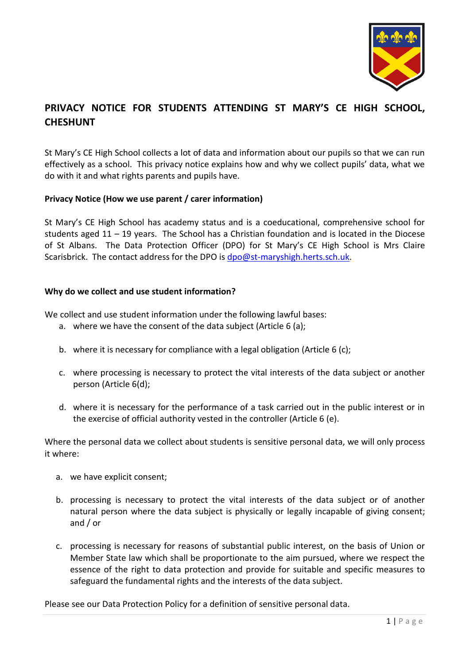

# **PRIVACY NOTICE FOR STUDENTS ATTENDING ST MARY'S CE HIGH SCHOOL, CHESHUNT**

St Mary's CE High School collects a lot of data and information about our pupils so that we can run effectively as a school. This privacy notice explains how and why we collect pupils' data, what we do with it and what rights parents and pupils have.

# **Privacy Notice (How we use parent / carer information)**

St Mary's CE High School has academy status and is a coeducational, comprehensive school for students aged 11 – 19 years. The School has a Christian foundation and is located in the Diocese of St Albans. The Data Protection Officer (DPO) for St Mary's CE High School is Mrs Claire Scarisbrick. The contact address for the DPO is [dpo@st-maryshigh.herts.sch.uk.](mailto:dpo@st-maryshigh.herts.sch.uk)

# **Why do we collect and use student information?**

We collect and use student information under the following lawful bases:

- a. where we have the consent of the data subject (Article 6 (a);
- b. where it is necessary for compliance with a legal obligation (Article 6 (c);
- c. where processing is necessary to protect the vital interests of the data subject or another person (Article 6(d);
- d. where it is necessary for the performance of a task carried out in the public interest or in the exercise of official authority vested in the controller (Article 6 (e).

Where the personal data we collect about students is sensitive personal data, we will only process it where:

- a. we have explicit consent;
- b. processing is necessary to protect the vital interests of the data subject or of another natural person where the data subject is physically or legally incapable of giving consent; and / or
- c. processing is necessary for reasons of substantial public interest, on the basis of Union or Member State law which shall be proportionate to the aim pursued, where we respect the essence of the right to data protection and provide for suitable and specific measures to safeguard the fundamental rights and the interests of the data subject.

Please see our Data Protection Policy for a definition of sensitive personal data.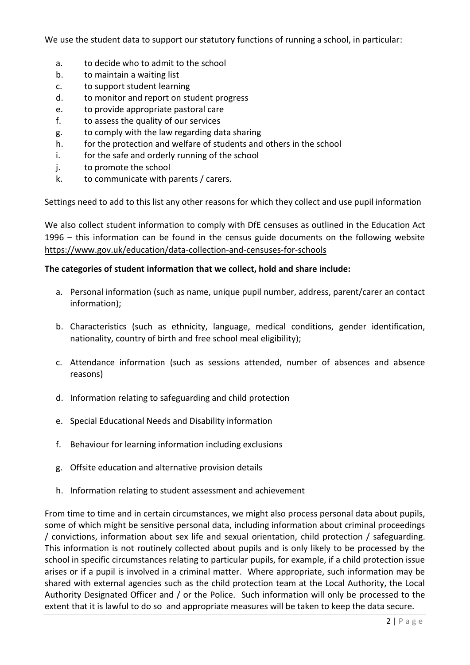We use the student data to support our statutory functions of running a school, in particular:

- a. to decide who to admit to the school
- b. to maintain a waiting list
- c. to support student learning
- d. to monitor and report on student progress
- e. to provide appropriate pastoral care
- f. to assess the quality of our services
- g. to comply with the law regarding data sharing
- h. for the protection and welfare of students and others in the school
- i. for the safe and orderly running of the school
- j. to promote the school
- k. to communicate with parents / carers.

Settings need to add to this list any other reasons for which they collect and use pupil information

We also collect student information to comply with DfE censuses as outlined in the Education Act 1996 – this information can be found in the census guide documents on the following website <https://www.gov.uk/education/data-collection-and-censuses-for-schools>

## **The categories of student information that we collect, hold and share include:**

- a. Personal information (such as name, unique pupil number, address, parent/carer an contact information);
- b. Characteristics (such as ethnicity, language, medical conditions, gender identification, nationality, country of birth and free school meal eligibility);
- c. Attendance information (such as sessions attended, number of absences and absence reasons)
- d. Information relating to safeguarding and child protection
- e. Special Educational Needs and Disability information
- f. Behaviour for learning information including exclusions
- g. Offsite education and alternative provision details
- h. Information relating to student assessment and achievement

From time to time and in certain circumstances, we might also process personal data about pupils, some of which might be sensitive personal data, including information about criminal proceedings / convictions, information about sex life and sexual orientation, child protection / safeguarding. This information is not routinely collected about pupils and is only likely to be processed by the school in specific circumstances relating to particular pupils, for example, if a child protection issue arises or if a pupil is involved in a criminal matter. Where appropriate, such information may be shared with external agencies such as the child protection team at the Local Authority, the Local Authority Designated Officer and / or the Police. Such information will only be processed to the extent that it is lawful to do so and appropriate measures will be taken to keep the data secure.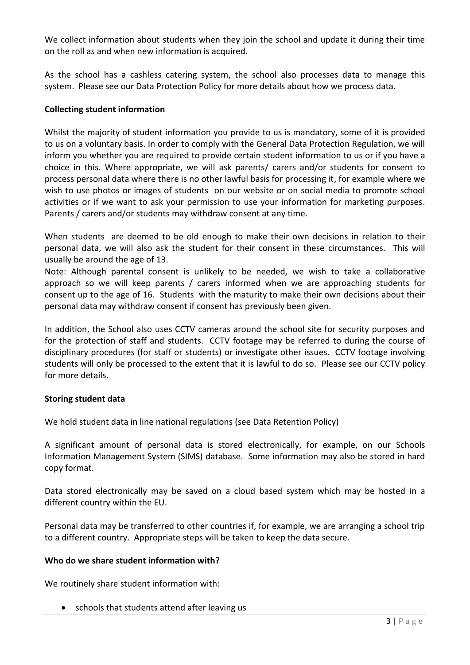We collect information about students when they join the school and update it during their time on the roll as and when new information is acquired.

As the school has a cashless catering system, the school also processes data to manage this system. Please see our Data Protection Policy for more details about how we process data.

# **Collecting student information**

Whilst the majority of student information you provide to us is mandatory, some of it is provided to us on a voluntary basis. In order to comply with the General Data Protection Regulation, we will inform you whether you are required to provide certain student information to us or if you have a choice in this. Where appropriate, we will ask parents/ carers and/or students for consent to process personal data where there is no other lawful basis for processing it, for example where we wish to use photos or images of students on our website or on social media to promote school activities or if we want to ask your permission to use your information for marketing purposes. Parents / carers and/or students may withdraw consent at any time.

When students are deemed to be old enough to make their own decisions in relation to their personal data, we will also ask the student for their consent in these circumstances. This will usually be around the age of 13.

Note: Although parental consent is unlikely to be needed, we wish to take a collaborative approach so we will keep parents / carers informed when we are approaching students for consent up to the age of 16. Students with the maturity to make their own decisions about their personal data may withdraw consent if consent has previously been given.

In addition, the School also uses CCTV cameras around the school site for security purposes and for the protection of staff and students. CCTV footage may be referred to during the course of disciplinary procedures (for staff or students) or investigate other issues. CCTV footage involving students will only be processed to the extent that it is lawful to do so. Please see our CCTV policy for more details.

## **Storing student data**

We hold student data in line national regulations (see Data Retention Policy)

A significant amount of personal data is stored electronically, for example, on our Schools Information Management System (SIMS) database. Some information may also be stored in hard copy format.

Data stored electronically may be saved on a cloud based system which may be hosted in a different country within the EU.

Personal data may be transferred to other countries if, for example, we are arranging a school trip to a different country. Appropriate steps will be taken to keep the data secure.

## **Who do we share student information with?**

We routinely share student information with:

• schools that students attend after leaving us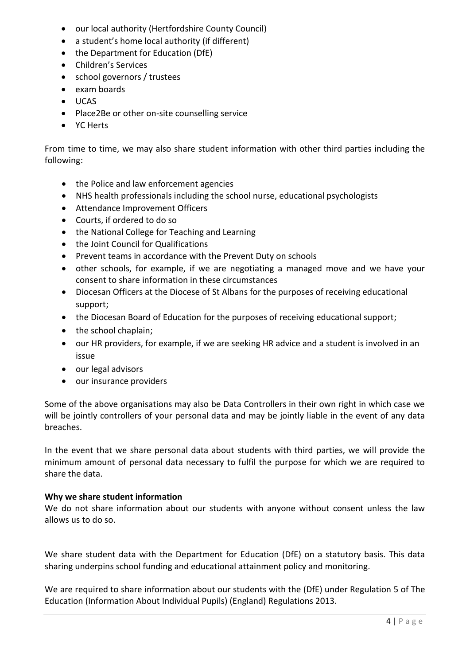- our local authority (Hertfordshire County Council)
- a student's home local authority (if different)
- the Department for Education (DfE)
- Children's Services
- school governors / trustees
- exam boards
- UCAS
- Place2Be or other on-site counselling service
- YC Herts

From time to time, we may also share student information with other third parties including the following:

- the Police and law enforcement agencies
- NHS health professionals including the school nurse, educational psychologists
- Attendance Improvement Officers
- Courts, if ordered to do so
- the National College for Teaching and Learning
- the Joint Council for Qualifications
- Prevent teams in accordance with the Prevent Duty on schools
- other schools, for example, if we are negotiating a managed move and we have your consent to share information in these circumstances
- Diocesan Officers at the Diocese of St Albans for the purposes of receiving educational support;
- the Diocesan Board of Education for the purposes of receiving educational support;
- the school chaplain;
- our HR providers, for example, if we are seeking HR advice and a student is involved in an issue
- our legal advisors
- our insurance providers

Some of the above organisations may also be Data Controllers in their own right in which case we will be jointly controllers of your personal data and may be jointly liable in the event of any data breaches.

In the event that we share personal data about students with third parties, we will provide the minimum amount of personal data necessary to fulfil the purpose for which we are required to share the data.

## **Why we share student information**

We do not share information about our students with anyone without consent unless the law allows us to do so.

We share student data with the Department for Education (DfE) on a statutory basis. This data sharing underpins school funding and educational attainment policy and monitoring.

We are required to share information about our students with the (DfE) under Regulation 5 of The Education (Information About Individual Pupils) (England) Regulations 2013.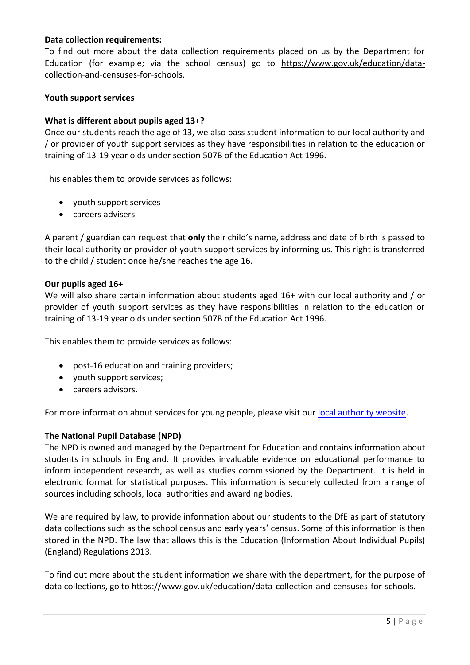# **Data collection requirements:**

To find out more about the data collection requirements placed on us by the Department for Education (for example; via the school census) go to [https://www.gov.uk/education/data](https://www.gov.uk/education/data-collection-and-censuses-for-schools)[collection-and-censuses-for-schools.](https://www.gov.uk/education/data-collection-and-censuses-for-schools)

#### **Youth support services**

#### **What is different about pupils aged 13+?**

Once our students reach the age of 13, we also pass student information to our local authority and / or provider of youth support services as they have responsibilities in relation to the education or training of 13-19 year olds under section 507B of the Education Act 1996.

This enables them to provide services as follows:

- youth support services
- careers advisers

A parent / guardian can request that **only** their child's name, address and date of birth is passed to their local authority or provider of youth support services by informing us. This right is transferred to the child / student once he/she reaches the age 16.

#### **Our pupils aged 16+**

We will also share certain information about students aged 16+ with our local authority and / or provider of youth support services as they have responsibilities in relation to the education or training of 13-19 year olds under section 507B of the Education Act 1996.

This enables them to provide services as follows:

- post-16 education and training providers;
- youth support services;
- careers advisors.

For more information about services for young people, please visit our [local authority website.](http://www.hertsdirect.org/services/youngpeople/)

## **The National Pupil Database (NPD)**

The NPD is owned and managed by the Department for Education and contains information about students in schools in England. It provides invaluable evidence on educational performance to inform independent research, as well as studies commissioned by the Department. It is held in electronic format for statistical purposes. This information is securely collected from a range of sources including schools, local authorities and awarding bodies.

We are required by law, to provide information about our students to the DfE as part of statutory data collections such as the school census and early years' census. Some of this information is then stored in the NPD. The law that allows this is the Education (Information About Individual Pupils) (England) Regulations 2013.

To find out more about the student information we share with the department, for the purpose of data collections, go to [https://www.gov.uk/education/data-collection-and-censuses-for-schools.](https://www.gov.uk/education/data-collection-and-censuses-for-schools)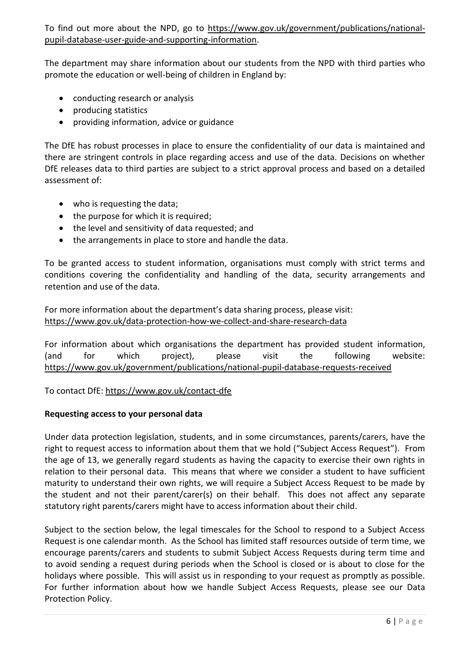To find out more about the NPD, go to [https://www.gov.uk/government/publications/national](https://www.gov.uk/government/publications/national-pupil-database-user-guide-and-supporting-information)[pupil-database-user-guide-and-supporting-information.](https://www.gov.uk/government/publications/national-pupil-database-user-guide-and-supporting-information)

The department may share information about our students from the NPD with third parties who promote the education or well-being of children in England by:

- conducting research or analysis
- producing statistics
- providing information, advice or guidance

The DfE has robust processes in place to ensure the confidentiality of our data is maintained and there are stringent controls in place regarding access and use of the data. Decisions on whether DfE releases data to third parties are subject to a strict approval process and based on a detailed assessment of:

- who is requesting the data;
- the purpose for which it is required;
- the level and sensitivity of data requested; and
- the arrangements in place to store and handle the data.

To be granted access to student information, organisations must comply with strict terms and conditions covering the confidentiality and handling of the data, security arrangements and retention and use of the data.

For more information about the department's data sharing process, please visit: <https://www.gov.uk/data-protection-how-we-collect-and-share-research-data>

For information about which organisations the department has provided student information, (and for which project), please visit the following website: <https://www.gov.uk/government/publications/national-pupil-database-requests-received>

To contact DfE:<https://www.gov.uk/contact-dfe>

# **Requesting access to your personal data**

Under data protection legislation, students, and in some circumstances, parents/carers, have the right to request access to information about them that we hold ("Subject Access Request"). From the age of 13, we generally regard students as having the capacity to exercise their own rights in relation to their personal data. This means that where we consider a student to have sufficient maturity to understand their own rights, we will require a Subject Access Request to be made by the student and not their parent/carer(s) on their behalf. This does not affect any separate statutory right parents/carers might have to access information about their child.

Subject to the section below, the legal timescales for the School to respond to a Subject Access Request is one calendar month. As the School has limited staff resources outside of term time, we encourage parents/carers and students to submit Subject Access Requests during term time and to avoid sending a request during periods when the School is closed or is about to close for the holidays where possible. This will assist us in responding to your request as promptly as possible. For further information about how we handle Subject Access Requests, please see our Data Protection Policy.